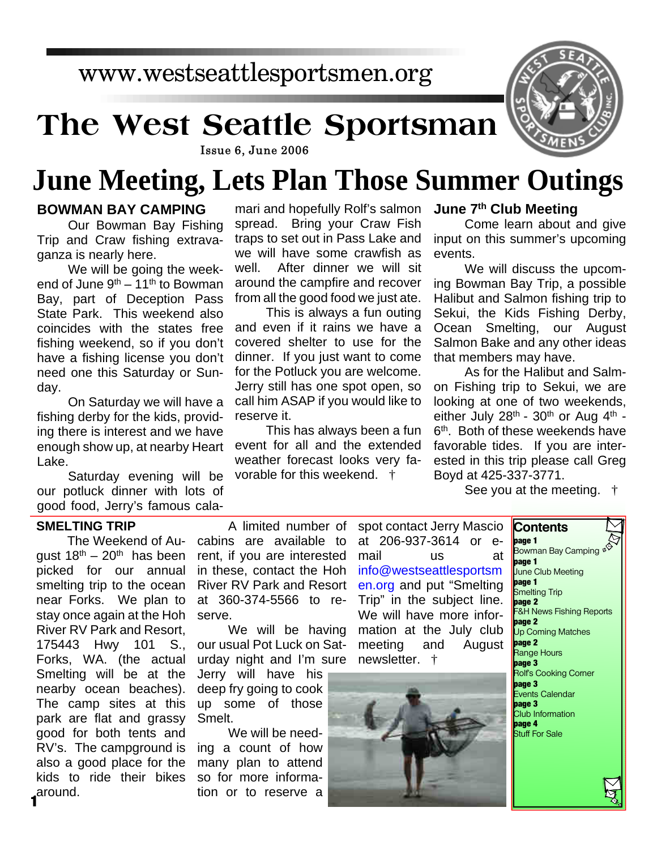# **The West Seattle Sportsman**



#### Issue 6, June 2006

## **June Meeting, Lets Plan Those Summer Outings**

#### **BOWMAN BAY CAMPING**

Our Bowman Bay Fishing Trip and Craw fishing extravaganza is nearly here.

We will be going the weekend of June  $9<sup>th</sup> - 11<sup>th</sup>$  to Bowman Bay, part of Deception Pass State Park. This weekend also coincides with the states free fishing weekend, so if you don't have a fishing license you don't need one this Saturday or Sunday.

On Saturday we will have a fishing derby for the kids, providing there is interest and we have enough show up, at nearby Heart Lake.

Saturday evening will be our potluck dinner with lots of good food, Jerry's famous cala-

#### **SMELTING TRIP**

The Weekend of Auqust  $18^{th} - 20^{th}$  has been picked for our annual smelting trip to the ocean near Forks. We plan to stay once again at the Hoh River RV Park and Resort, 175443 Hwy 101 S., Forks, WA. (the actual Smelting will be at the nearby ocean beaches). The camp sites at this park are flat and grassy good for both tents and RV's. The campground is also a good place for the kids to ride their bikes around. **1**

mari and hopefully Rolf's salmon **June 7th Club Meeting** spread. Bring your Craw Fish traps to set out in Pass Lake and we will have some crawfish as well. After dinner we will sit around the campfire and recover from all the good food we just ate.

This is always a fun outing and even if it rains we have a covered shelter to use for the dinner. If you just want to come for the Potluck you are welcome. Jerry still has one spot open, so call him ASAP if you would like to reserve it.

This has always been a fun event for all and the extended weather forecast looks very favorable for this weekend. †

Come learn about and give input on this summer's upcoming events.

We will discuss the upcoming Bowman Bay Trip, a possible Halibut and Salmon fishing trip to Sekui, the Kids Fishing Derby, Ocean Smelting, our August Salmon Bake and any other ideas that members may have.

As for the Halibut and Salmon Fishing trip to Sekui, we are looking at one of two weekends, either July  $28<sup>th</sup>$  -  $30<sup>th</sup>$  or Aug  $4<sup>th</sup>$  -6 th. Both of these weekends have favorable tides. If you are interested in this trip please call Greg Boyd at 425-337-3771.

See you at the meeting. †

A limited number of cabins are available to rent, if you are interested in these, contact the Hoh River RV Park and Resort at 360-374-5566 to reserve.

We will be having our usual Pot Luck on Saturday night and I'm sure Jerry will have his deep fry going to cook up some of those Smelt.

We will be needing a count of how many plan to attend so for more information or to reserve a spot contact Jerry Mascio at 206-937-3614 or email us at info@westseattlesportsm en.org and put "Smelting Trip" in the subject line. We will have more information at the July club meeting and August newsletter. †



**Contents page 1** Bowman Bay Camping  $\frac{dQ}{dt}$ **page 1** June Club Meeting **page 1 Smelting Trip page 2** F&H News Fishing Reports **page 2** Up Coming Matches **page 2** Range Hours **page 3** .<br>Rolf's Cooking Corner **page 3** Events Calendar **page 3** Club Information **page 4** Stuff For Sale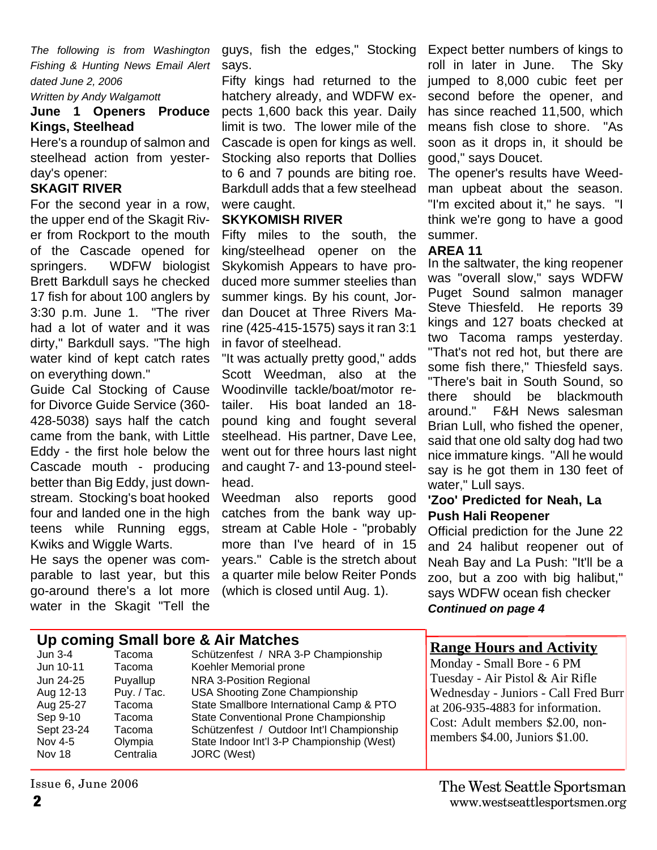*The following is from Washington Fishing & Hunting News Email Alert dated June 2, 2006*

*Written by Andy Walgamott*

#### **June 1 Openers Produce Kings, Steelhead**

Here's a roundup of salmon and steelhead action from yesterday's opener:

#### **SKAGIT RIVER**

For the second year in a row, the upper end of the Skagit River from Rockport to the mouth of the Cascade opened for springers. WDFW biologist Brett Barkdull says he checked 17 fish for about 100 anglers by 3:30 p.m. June 1. "The river had a lot of water and it was dirty," Barkdull says. "The high water kind of kept catch rates on everything down."

Guide Cal Stocking of Cause for Divorce Guide Service (360- 428-5038) says half the catch came from the bank, with Little Eddy - the first hole below the Cascade mouth - producing better than Big Eddy, just downstream. Stocking's boat hooked four and landed one in the high teens while Running eggs, Kwiks and Wiggle Warts.

He says the opener was comparable to last year, but this go-around there's a lot more water in the Skagit "Tell the

guys, fish the edges," Stocking says.

Fifty kings had returned to the hatchery already, and WDFW expects 1,600 back this year. Daily limit is two. The lower mile of the Cascade is open for kings as well. Stocking also reports that Dollies to 6 and 7 pounds are biting roe. Barkdull adds that a few steelhead were caught.

#### **SKYKOMISH RIVER**

Fifty miles to the south, the king/steelhead opener on the Skykomish Appears to have produced more summer steelies than summer kings. By his count, Jordan Doucet at Three Rivers Marine (425-415-1575) says it ran 3:1 in favor of steelhead.

"It was actually pretty good," adds Scott Weedman, also at the Woodinville tackle/boat/motor retailer. His boat landed an 18 pound king and fought several steelhead. His partner, Dave Lee, went out for three hours last night and caught 7- and 13-pound steelhead.

Weedman also reports good catches from the bank way upstream at Cable Hole - "probably more than I've heard of in 15 years." Cable is the stretch about a quarter mile below Reiter Ponds (which is closed until Aug. 1).

Expect better numbers of kings to roll in later in June. The Sky jumped to 8,000 cubic feet per second before the opener, and has since reached 11,500, which means fish close to shore. "As soon as it drops in, it should be good," says Doucet.

The opener's results have Weedman upbeat about the season. "I'm excited about it," he says. "I think we're gong to have a good summer.

#### **AREA 11**

In the saltwater, the king reopener was "overall slow," says WDFW Puget Sound salmon manager Steve Thiesfeld. He reports 39 kings and 127 boats checked at two Tacoma ramps yesterday. "That's not red hot, but there are some fish there," Thiesfeld says. "There's bait in South Sound, so there should be blackmouth around." F&H News salesman Brian Lull, who fished the opener, said that one old salty dog had two nice immature kings. "All he would say is he got them in 130 feet of water," Lull says.

#### **'Zoo' Predicted for Neah, La Push Hali Reopener**

Official prediction for the June 22 and 24 halibut reopener out of Neah Bay and La Push: "It'll be a zoo, but a zoo with big halibut," says WDFW ocean fish checker *Continued on page 4*

| Up coming Small bore & Air Matches                                                                                |                                                                                                   |                                                                                                                                                                                                                                                                                                                           |                                                                                                                                                                                                                                                      |
|-------------------------------------------------------------------------------------------------------------------|---------------------------------------------------------------------------------------------------|---------------------------------------------------------------------------------------------------------------------------------------------------------------------------------------------------------------------------------------------------------------------------------------------------------------------------|------------------------------------------------------------------------------------------------------------------------------------------------------------------------------------------------------------------------------------------------------|
| Jun 3-4<br>Jun 10-11<br>Jun 24-25<br>Aug 12-13<br>Aug 25-27<br>Sep 9-10<br>Sept 23-24<br>Nov 4-5<br><b>Nov 18</b> | Tacoma<br>Tacoma<br>Puyallup<br>Puy. / Tac.<br>Tacoma<br>Tacoma<br>Tacoma<br>Olympia<br>Centralia | Schützenfest / NRA 3-P Championship<br>Koehler Memorial prone<br>NRA 3-Position Regional<br>USA Shooting Zone Championship<br>State Smallbore International Camp & PTO<br>State Conventional Prone Championship<br>Schützenfest / Outdoor Int'l Championship<br>State Indoor Int'l 3-P Championship (West)<br>JORC (West) | <b>Range Hours and Activity</b><br>Monday - Small Bore - 6 PM<br>Tuesday - Air Pistol & Air Rifle<br>Wednesday - Juniors - Call Fred Burr<br>at 206-935-4883 for information.<br>Cost: Adult members \$2.00, non-<br>members \$4.00, Juniors \$1.00. |

Issue 6, June 2006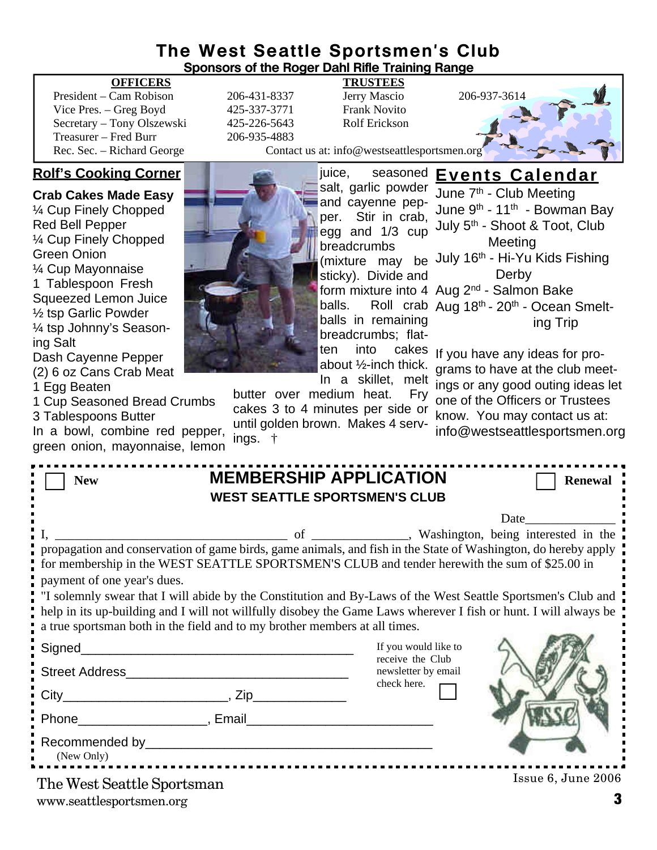#### **The West Seattle Sportsmen's Club Sponsors of the Roger Dahl Rifle Training Range**

#### **OFFICERS TRUSTEES**

President – Cam Robison 206-431-8337 Jerry Mascio 206-937-3614 Vice Pres. – Greg Boyd 425-337-3771 Frank Novito Secretary – Tony Olszewski 425-226-5643 Rolf Erickson Treasurer – Fred Burr 206-935-4883

#### **Rolf's Cooking Corner**

**Crab Cakes Made Easy** ¼ Cup Finely Chopped Red Bell Pepper ¼ Cup Finely Chopped Green Onion ¼ Cup Mayonnaise 1 Tablespoon Fresh Squeezed Lemon Juice ½ tsp Garlic Powder ¼ tsp Johnny's Seasoning Salt Dash Cayenne Pepper (2) 6 oz Cans Crab Meat

1 Egg Beaten

1 Cup Seasoned Bread Crumbs 3 Tablespoons Butter

In a bowl, combine red pepper, green onion, mayonnaise, lemon

Rec. Sec. – Richard George Contact us at: info@westseattlesportsmen.org

juice, seasoned **Events Calendar** June 7<sup>th</sup> - Club Meeting

salt, garlic powder and cayenne pepper. Stir in crab, egg and 1/3 cup breadcrumbs sticky). Divide and balls in remaining breadcrumbs; flatabout ½-inch thick. In a skillet, melt June 9th - 11th - Bowman Bay

butter over medium heat. Fry cakes 3 to 4 minutes per side or until golden brown. Makes 4 serv-

ings. †

(mixture may be July 16<sup>th</sup> - Hi-Yu Kids Fishing form mixture into 4 Aug 2<sup>nd</sup> - Salmon Bake balls. Roll crab Aug 18<sup>th</sup> - 20<sup>th</sup> - Ocean Smeltten into cakes If you have any ideas for pro-July 5th - Shoot & Toot, Club Meeting Derby ing Trip

grams to have at the club meetings or any good outing ideas let one of the Officers or Trustees know. You may contact us at: info@westseattlesportsmen.org

| <b>MEMBERSHIP APPLICATION</b><br><b>New</b><br><b>WEST SEATTLE SPORTSMEN'S CLUB</b>                                                                                                                                              | <b>Renewal</b>                          |  |  |  |
|----------------------------------------------------------------------------------------------------------------------------------------------------------------------------------------------------------------------------------|-----------------------------------------|--|--|--|
|                                                                                                                                                                                                                                  |                                         |  |  |  |
|                                                                                                                                                                                                                                  |                                         |  |  |  |
| for membership in the WEST SEATTLE SPORTSMEN'S CLUB and tender herewith the sum of \$25.00 in                                                                                                                                    |                                         |  |  |  |
| payment of one year's dues.                                                                                                                                                                                                      |                                         |  |  |  |
| "I solemnly swear that I will abide by the Constitution and By-Laws of the West Seattle Sportsmen's Club and<br>help in its up-building and I will not willfully disobey the Game Laws wherever I fish or hunt. I will always be |                                         |  |  |  |
| a true sportsman both in the field and to my brother members at all times.                                                                                                                                                       |                                         |  |  |  |
|                                                                                                                                                                                                                                  | If you would like to                    |  |  |  |
| Street Address Management and Changes and Changes and Changes and Changes and Changes and Changes and Changes                                                                                                                    | receive the Club<br>newsletter by email |  |  |  |
|                                                                                                                                                                                                                                  | check here.                             |  |  |  |
|                                                                                                                                                                                                                                  |                                         |  |  |  |
| (New Only)                                                                                                                                                                                                                       |                                         |  |  |  |
| The West Seattle Sportsman                                                                                                                                                                                                       | Issue 6, June 2006                      |  |  |  |

www.seattlesportsmen.org **3**